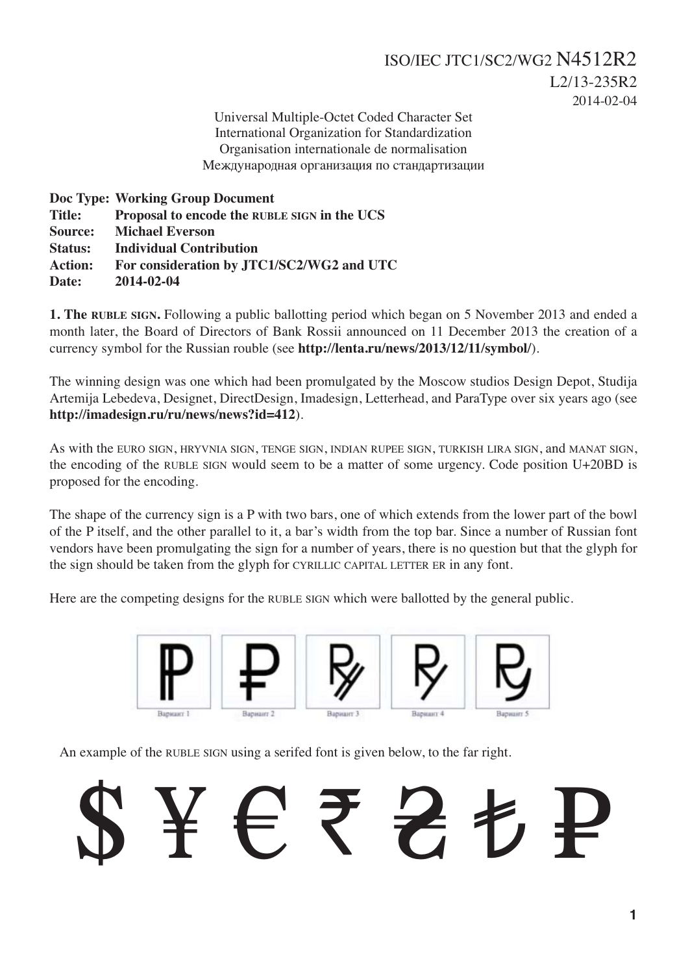Universal Multiple-Octet Coded Character Set International Organization for Standardization Organisation internationale de normalisation Международная организация по стандартизации

**Doc Type: Working Group Document Title: Proposal to encode the RUBLE SIGN in the UCS Source: Michael Everson Status: Individual Contribution Action: For consideration by JTC1/SC2/WG2 and UTC Date: 2014-02-04**

**1. The RUBLE SIGN.** Following a public ballotting period which began on 5 November 2013 and ended a month later, the Board of Directors of Bank Rossii announced on 11 December 2013 the creation of a currency symbol for the Russian rouble (see **http://lenta.ru/news/2013/12/11/symbol/**).

The winning design was one which had been promulgated by the Moscow studios Design Depot, Studija Artemija Lebedeva, Designet, DirectDesign, Imadesign, Letterhead, and ParaType over six years ago (see **http://imadesign.ru/ru/news/news?id=412**).

As with the EURO SIGN, HRYVNIA SIGN, TENGE SIGN, INDIAN RUPEE SIGN, TURKISH LIRA SIGN, and MANAT SIGN, the encoding of the RUBLE SIGN would seem to be a matter of some urgency. Code position U+20BD is proposed for the encoding.

The shape of the currency sign is a P with two bars, one of which extends from the lower part of the bowl of the P itself, and the other parallel to it, a bar's width from the top bar. Since a number of Russian font vendors have been promulgating the sign for a number of years, there is no question but that the glyph for the sign should be taken from the glyph for CYRILLIC CAPITAL LETTER ER in any font.

Here are the competing designs for the RUBLE SIGN which were ballotted by the general public.



An example of the RUBLE SIGN using a serifed font is given below, to the far right.

\$ ¥ € ₹ ₴ ₺ ₽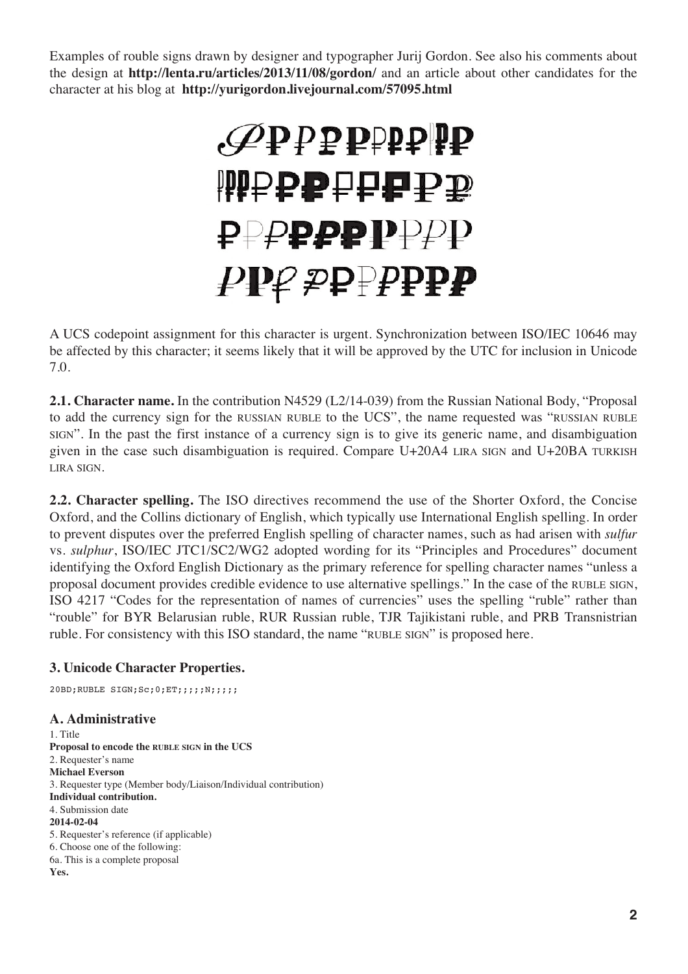Examples of rouble signs drawn by designer and typographer Jurij Gordon. See also his comments about the design at **http://lenta.ru/articles/2013/11/08/gordon/** and an article about other candidates for the character at his blog at **http://yurigordon.livejournal.com/57095.html**

# *.*₽₽₽₽₽₽₽₽ **WPPPPFFPP** ₽₽₽₽₽₽₽₽₽ ₽₽₽₽₽₽₽₽₽

A UCS codepoint assignment for this character is urgent. Synchronization between ISO/IEC 10646 may be affected by this character; it seems likely that it will be approved by the UTC for inclusion in Unicode 7.0.

**2.1. Character name.** In the contribution N4529 (L2/14-039) from the Russian National Body, "Proposal to add the currency sign for the RUSSIAN RUBLE to the UCS", the name requested was "RUSSIAN RUBLE SIGN". In the past the first instance of a currency sign is to give its generic name, and disambiguation given in the case such disambiguation is required. Compare U+20A4 LIRA SIGN and U+20BA TURKISH LIRA SIGN.

**2.2. Character spelling.** The ISO directives recommend the use of the Shorter Oxford, the Concise Oxford, and the Collins dictionary of English, which typically use International English spelling. In order to prevent disputes over the preferred English spelling of character names, such as had arisen with *sulfur* vs. *sulphur*, ISO/IEC JTC1/SC2/WG2 adopted wording for its "Principles and Procedures" document identifying the Oxford English Dictionary as the primary reference for spelling character names "unless a proposal document provides credible evidence to use alternative spellings." In the case of the RUBLE SIGN, ISO 4217 "Codes for the representation of names of currencies" uses the spelling "ruble" rather than "rouble" for BYR Belarusian ruble, RUR Russian ruble, TJR Tajikistani ruble, and PRB Transnistrian ruble. For consistency with this ISO standard, the name "RUBLE SIGN" is proposed here.

# **3. Unicode Character Properties.**

20BD;RUBLE SIGN;Sc;0;ET;;;;;N;;;;;

## **A. Administrative**

1. Title **Proposal to encode the RUBLE SIGN in the UCS** 2. Requester's name **Michael Everson** 3. Requester type (Member body/Liaison/Individual contribution) **Individual contribution.** 4. Submission date **2014-02-04** 5. Requester's reference (if applicable) 6. Choose one of the following: 6a. This is a complete proposal **Yes.**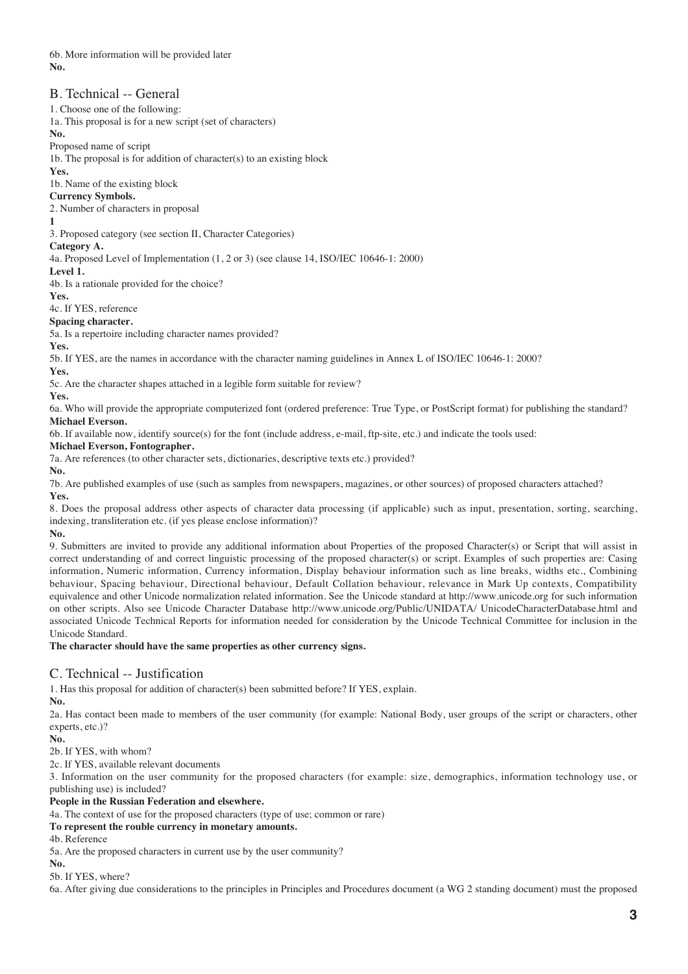6b. More information will be provided later **No.**

## B. Technical -- General

1. Choose one of the following:

1a. This proposal is for a new script (set of characters)

**No.**

Proposed name of script

1b. The proposal is for addition of character(s) to an existing block

**Yes.**

1b. Name of the existing block

**Currency Symbols.** 2. Number of characters in proposal

## **1**

3. Proposed category (see section II, Character Categories)

#### **Category A.**

4a. Proposed Level of Implementation (1, 2 or 3) (see clause 14, ISO/IEC 10646-1: 2000)

#### **Level 1.**

4b. Is a rationale provided for the choice?

**Yes.**

4c. If YES, reference

# **Spacing character.**

5a. Is a repertoire including character names provided?

**Yes.**

5b. If YES, are the names in accordance with the character naming guidelines in Annex L of ISO/IEC 10646-1: 2000?

## **Yes.**

5c. Are the character shapes attached in a legible form suitable for review?

**Yes.**

6a. Who will provide the appropriate computerized font (ordered preference: True Type, or PostScript format) for publishing the standard? **Michael Everson.**

6b. If available now, identify source(s) for the font (include address, e-mail, ftp-site, etc.) and indicate the tools used:

**Michael Everson, Fontographer.**

7a. Are references (to other character sets, dictionaries, descriptive texts etc.) provided?

**No.**

7b. Are published examples of use (such as samples from newspapers, magazines, or other sources) of proposed characters attached? **Yes.**

8. Does the proposal address other aspects of character data processing (if applicable) such as input, presentation, sorting, searching, indexing, transliteration etc. (if yes please enclose information)?

**No.**

9. Submitters are invited to provide any additional information about Properties of the proposed Character(s) or Script that will assist in correct understanding of and correct linguistic processing of the proposed character(s) or script. Examples of such properties are: Casing information, Numeric information, Currency information, Display behaviour information such as line breaks, widths etc., Combining behaviour, Spacing behaviour, Directional behaviour, Default Collation behaviour, relevance in Mark Up contexts, Compatibility equivalence and other Unicode normalization related information. See the Unicode standard at http://www.unicode.org for such information on other scripts. Also see Unicode Character Database http://www.unicode.org/Public/UNIDATA/ UnicodeCharacterDatabase.html and associated Unicode Technical Reports for information needed for consideration by the Unicode Technical Committee for inclusion in the Unicode Standard.

**The character should have the same properties as other currency signs.**

# C. Technical -- Justification

1. Has this proposal for addition of character(s) been submitted before? If YES, explain.

**No.**

2a. Has contact been made to members of the user community (for example: National Body, user groups of the script or characters, other experts, etc.)?

**No.** 

2b. If YES, with whom?

2c. If YES, available relevant documents

3. Information on the user community for the proposed characters (for example: size, demographics, information technology use, or publishing use) is included?

### **People in the Russian Federation and elsewhere.**

4a. The context of use for the proposed characters (type of use; common or rare)

**To represent the rouble currency in monetary amounts.**

4b. Reference

5a. Are the proposed characters in current use by the user community?

**No.**

5b. If YES, where?

6a. After giving due considerations to the principles in Principles and Procedures document (a WG 2 standing document) must the proposed